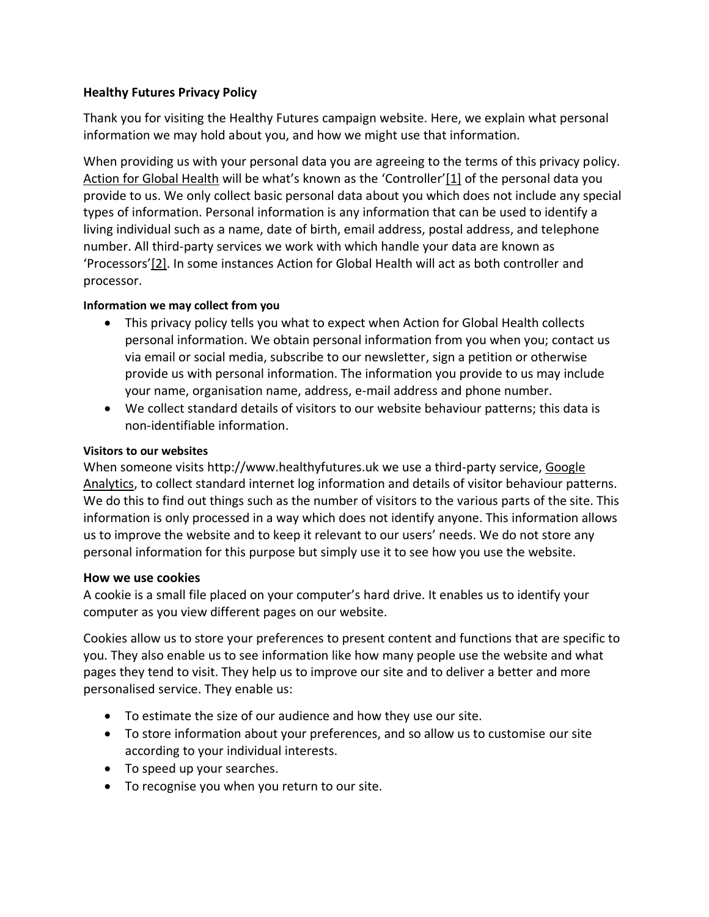# **Healthy Futures Privacy Policy**

Thank you for visiting the Healthy Futures campaign website. Here, we explain what personal information we may hold about you, and how we might use that information.

When providing us with your personal data you are agreeing to the terms of this privacy policy. [Action for Global Health](https://actionforglobalhealth.org.uk/) will be what's known as the 'Controller'[\[1\]](https://stopaids.org.uk/stopaids-privacy-policy/#_ftn1) of the personal data you provide to us. We only collect basic personal data about you which does not include any special types of information. Personal information is any information that can be used to identify a living individual such as a name, date of birth, email address, postal address, and telephone number. All third-party services we work with which handle your data are known as 'Processors'[\[2\].](https://stopaids.org.uk/stopaids-privacy-policy/#_ftn2) In some instances Action for Global Health will act as both controller and processor.

### **Information we may collect from you**

- This privacy policy tells you what to expect when Action for Global Health collects personal information. We obtain personal information from you when you; contact us via email or social media, subscribe to our newsletter, sign a petition or otherwise provide us with personal information. The information you provide to us may include your name, organisation name, address, e-mail address and phone number.
- We collect standard details of visitors to our website behaviour patterns; this data is non-identifiable information.

### **Visitors to our websites**

When someone visits http://www.healthyfutures.uk we use a third-party service, [Google](https://analytics.google.com/analytics/web/)  [Analytics,](https://analytics.google.com/analytics/web/) to collect standard internet log information and details of visitor behaviour patterns. We do this to find out things such as the number of visitors to the various parts of the site. This information is only processed in a way which does not identify anyone. This information allows us to improve the website and to keep it relevant to our users' needs. We do not store any personal information for this purpose but simply use it to see how you use the website.

### **How we use cookies**

A cookie is a small file placed on your computer's hard drive. It enables us to identify your computer as you view different pages on our website.

Cookies allow us to store your preferences to present content and functions that are specific to you. They also enable us to see information like how many people use the website and what pages they tend to visit. They help us to improve our site and to deliver a better and more personalised service. They enable us:

- To estimate the size of our audience and how they use our site.
- To store information about your preferences, and so allow us to customise our site according to your individual interests.
- To speed up your searches.
- To recognise you when you return to our site.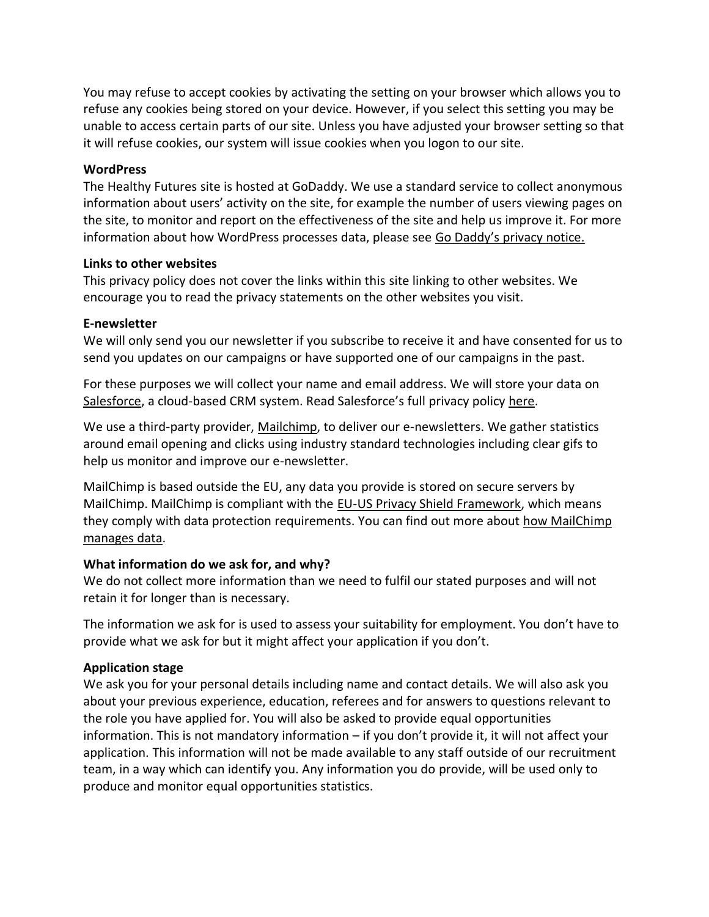You may refuse to accept cookies by activating the setting on your browser which allows you to refuse any cookies being stored on your device. However, if you select this setting you may be unable to access certain parts of our site. Unless you have adjusted your browser setting so that it will refuse cookies, our system will issue cookies when you logon to our site.

## **WordPress**

The Healthy Futures site is hosted at GoDaddy. We use a standard service to collect anonymous information about users' activity on the site, for example the number of users viewing pages on the site, to monitor and report on the effectiveness of the site and help us improve it. For more information about how WordPress processes data, please see [Go Daddy's privacy notice.](https://uk.godaddy.com/agreements/privacy)

## **Links to other websites**

This privacy policy does not cover the links within this site linking to other websites. We encourage you to read the privacy statements on the other websites you visit.

## **E-newsletter**

We will only send you our newsletter if you subscribe to receive it and have consented for us to send you updates on our campaigns or have supported one of our campaigns in the past.

For these purposes we will collect your name and email address. We will store your data on [Salesforce,](https://www.salesforce.com/uk/) a cloud-based CRM system. Read Salesforce's full privacy policy [here.](https://www.salesforce.com/uk/company/privacy/)

We use a third-party provider, [Mailchimp,](https://mailchimp.com/) to deliver our e-newsletters. We gather statistics around email opening and clicks using industry standard technologies including clear gifs to help us monitor and improve our e-newsletter.

MailChimp is based outside the EU, any data you provide is stored on secure servers by MailChimp. MailChimp is compliant with the [EU-US Privacy Shield Framework,](https://www.privacyshield.gov/) which means they comply with data protection requirements. You can find out more about [how MailChimp](http://www.mailchimp.com/legal/privacy)  [manages data.](http://www.mailchimp.com/legal/privacy)

# **What information do we ask for, and why?**

We do not collect more information than we need to fulfil our stated purposes and will not retain it for longer than is necessary.

The information we ask for is used to assess your suitability for employment. You don't have to provide what we ask for but it might affect your application if you don't.

# **Application stage**

We ask you for your personal details including name and contact details. We will also ask you about your previous experience, education, referees and for answers to questions relevant to the role you have applied for. You will also be asked to provide equal opportunities information. This is not mandatory information – if you don't provide it, it will not affect your application. This information will not be made available to any staff outside of our recruitment team, in a way which can identify you. Any information you do provide, will be used only to produce and monitor equal opportunities statistics.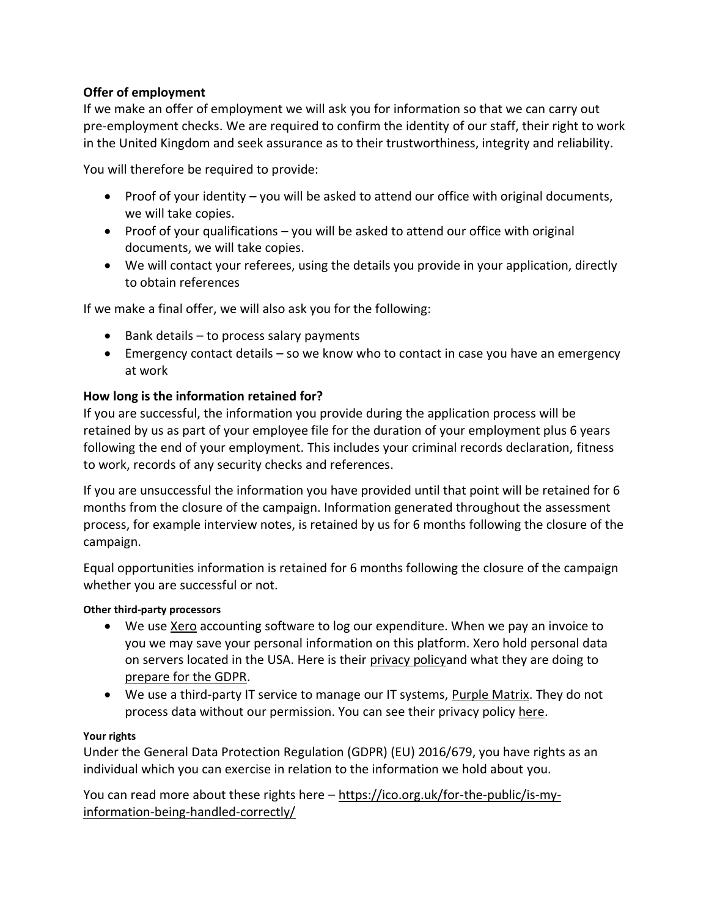# **Offer of employment**

If we make an offer of employment we will ask you for information so that we can carry out pre-employment checks. We are required to confirm the identity of our staff, their right to work in the United Kingdom and seek assurance as to their trustworthiness, integrity and reliability.

You will therefore be required to provide:

- Proof of your identity you will be asked to attend our office with original documents, we will take copies.
- Proof of your qualifications you will be asked to attend our office with original documents, we will take copies.
- We will contact your referees, using the details you provide in your application, directly to obtain references

If we make a final offer, we will also ask you for the following:

- Bank details to process salary payments
- Emergency contact details so we know who to contact in case you have an emergency at work

## **How long is the information retained for?**

If you are successful, the information you provide during the application process will be retained by us as part of your employee file for the duration of your employment plus 6 years following the end of your employment. This includes your criminal records declaration, fitness to work, records of any security checks and references.

If you are unsuccessful the information you have provided until that point will be retained for 6 months from the closure of the campaign. Information generated throughout the assessment process, for example interview notes, is retained by us for 6 months following the closure of the campaign.

Equal opportunities information is retained for 6 months following the closure of the campaign whether you are successful or not.

### **Other third-party processors**

- We use [Xero](https://www.xero.com/uk/) accounting software to log our expenditure. When we pay an invoice to you we may save your personal information on this platform. Xero hold personal data on servers located in the USA. Here is their [privacy policya](https://www.xero.com/uk/about/terms/privacy/)nd what they are doing to [prepare for the GDPR.](https://www.xero.com/uk/campaigns/xero-and-gdpr/)
- We use a third-party IT service to manage our IT systems, [Purple Matrix.](http://purplematrix.co.uk/) They do not process data without our permission. You can see their privacy polic[y here.](http://purplematrix.co.uk/privacy-policy/)

#### **Your rights**

Under the General Data Protection Regulation (GDPR) (EU) 2016/679, you have rights as an individual which you can exercise in relation to the information we hold about you.

You can read more about these rights here – [https://ico.org.uk/for-the-public/is-my](https://ico.org.uk/for-the-public/is-my-information-being-handled-correctly/)[information-being-handled-correctly/](https://ico.org.uk/for-the-public/is-my-information-being-handled-correctly/)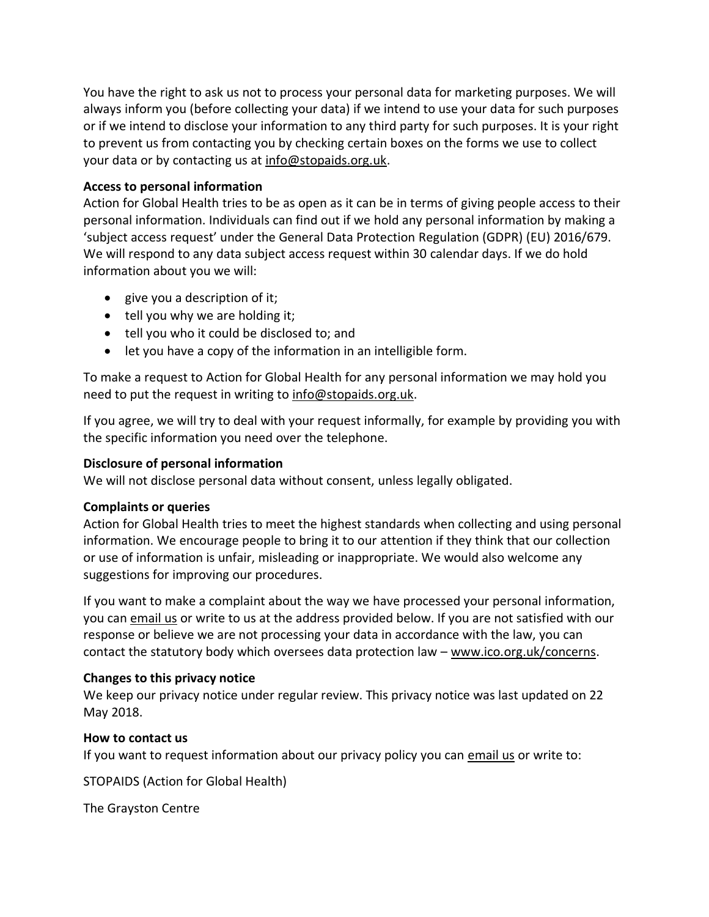You have the right to ask us not to process your personal data for marketing purposes. We will always inform you (before collecting your data) if we intend to use your data for such purposes or if we intend to disclose your information to any third party for such purposes. It is your right to prevent us from contacting you by checking certain boxes on the forms we use to collect your data or by contacting us at [info@stopaids.org.uk.](mailto:info@stopaids.org.uk)

## **Access to personal information**

Action for Global Health tries to be as open as it can be in terms of giving people access to their personal information. Individuals can find out if we hold any personal information by making a 'subject access request' under the General Data Protection Regulation (GDPR) (EU) 2016/679. We will respond to any data subject access request within 30 calendar days. If we do hold information about you we will:

- give you a description of it;
- tell you why we are holding it;
- tell you who it could be disclosed to; and
- let you have a copy of the information in an intelligible form.

To make a request to Action for Global Health for any personal information we may hold you need to put the request in writing to [info@stopaids.org.uk.](mailto:info@stopaids.org.uk)

If you agree, we will try to deal with your request informally, for example by providing you with the specific information you need over the telephone.

# **Disclosure of personal information**

We will not disclose personal data without consent, unless legally obligated.

### **Complaints or queries**

Action for Global Health tries to meet the highest standards when collecting and using personal information. We encourage people to bring it to our attention if they think that our collection or use of information is unfair, misleading or inappropriate. We would also welcome any suggestions for improving our procedures.

If you want to make a complaint about the way we have processed your personal information, you can [email us](https://stopaids.org.uk/stopaids-privacy-policy/info@stopaids.org.uk) or write to us at the address provided below. If you are not satisfied with our response or believe we are not processing your data in accordance with the law, you can contact the statutory body which oversees data protection law – [www.ico.org.uk/concerns.](http://www.ico.org.uk/concerns)

# **Changes to this privacy notice**

We keep our privacy notice under regular review. This privacy notice was last updated on 22 May 2018.

### **How to contact us**

If you want to request information about our privacy policy you can [email us](mailto:info@stopaids.org.uk) or write to:

STOPAIDS (Action for Global Health)

The Grayston Centre